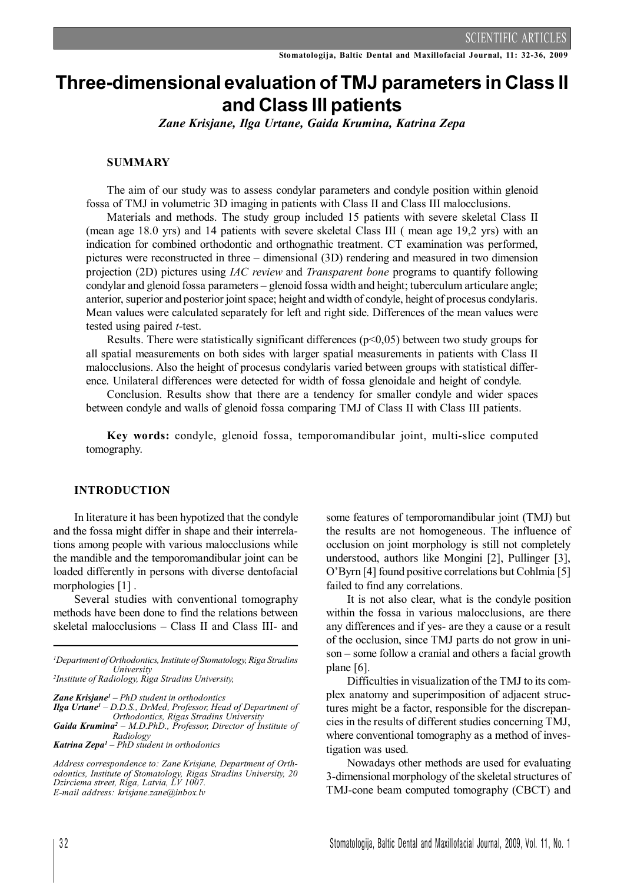# **Three-dimensional evaluation of TMJ parameters in Class II and Class III patients**

*Zane Krisjane, Ilga Urtane, Gaida Krumina, Katrina Zepa*

## **SUMMARY**

The aim of our study was to assess condylar parameters and condyle position within glenoid fossa of TMJ in volumetric 3D imaging in patients with Class II and Class III malocclusions.

Materials and methods. The study group included 15 patients with severe skeletal Class II (mean age 18.0 yrs) and 14 patients with severe skeletal Class III ( mean age 19,2 yrs) with an indication for combined orthodontic and orthognathic treatment. CT examination was performed, pictures were reconstructed in three – dimensional (3D) rendering and measured in two dimension projection (2D) pictures using *IAC review* and *Transparent bone* programs to quantify following condylar and glenoid fossa parameters – glenoid fossa width and height; tuberculum articulare angle; anterior, superior and posterior joint space; height and width of condyle, height of procesus condylaris. Mean values were calculated separately for left and right side. Differences of the mean values were tested using paired *t*-test.

Results. There were statistically significant differences ( $p<0,05$ ) between two study groups for all spatial measurements on both sides with larger spatial measurements in patients with Class II malocclusions. Also the height of procesus condylaris varied between groups with statistical difference. Unilateral differences were detected for width of fossa glenoidale and height of condyle.

Conclusion. Results show that there are a tendency for smaller condyle and wider spaces between condyle and walls of glenoid fossa comparing TMJ of Class II with Class III patients.

**Key words:** condyle, glenoid fossa, temporomandibular joint, multi-slice computed tomography.

## **INTRODUCTION**

In literature it has been hypotized that the condyle and the fossa might differ in shape and their interrelations among people with various malocclusions while the mandible and the temporomandibular joint can be loaded differently in persons with diverse dentofacial morphologies [1].

Several studies with conventional tomography methods have been done to find the relations between skeletal malocclusions – Class II and Class III- and

*Zane Krisjane<sup>1</sup> – PhD student in orthodontics Ilga Urtane<sup>1</sup> – D.D.S., DrMed, Professor, Head of Department of Orthodontics, Rigas Stradins University*

*Gaida Krumina<sup>2</sup> – M.D.PhD., Professor, Director of Institute of Radiology*

some features of temporomandibular joint (TMJ) but the results are not homogeneous. The influence of occlusion on joint morphology is still not completely understood, authors like Mongini [2], Pullinger [3], O'Byrn [4] found positive correlations but Cohlmia [5] failed to find any correlations.

It is not also clear, what is the condyle position within the fossa in various malocclusions, are there any differences and if yes- are they a cause or a result of the occlusion, since TMJ parts do not grow in unison – some follow a cranial and others a facial growth plane [6].

Difficulties in visualization of the TMJ to its complex anatomy and superimposition of adjacent structures might be a factor, responsible for the discrepancies in the results of different studies concerning TMJ, where conventional tomography as a method of investigation was used.

Nowadays other methods are used for evaluating 3-dimensional morphology of the skeletal structures of TMJ-cone beam computed tomography (CBCT) and

*<sup>1</sup>Department ofOrthodontics,Institute of Stomatology,Riga Stradins University*

*<sup>2</sup> Institute of Radiology, Riga Stradins University,*

*Katrina Zepa<sup>1</sup> – PhD student in orthodonics*

*Address correspondence to: Zane Krisjane, Department of Orthodontics, Institute of Stomatology, Rigas Stradins University, 20 Dzirciema street, Riga, Latvia, LV 1007. E-mail address: krisjane.zane@inbox.lv*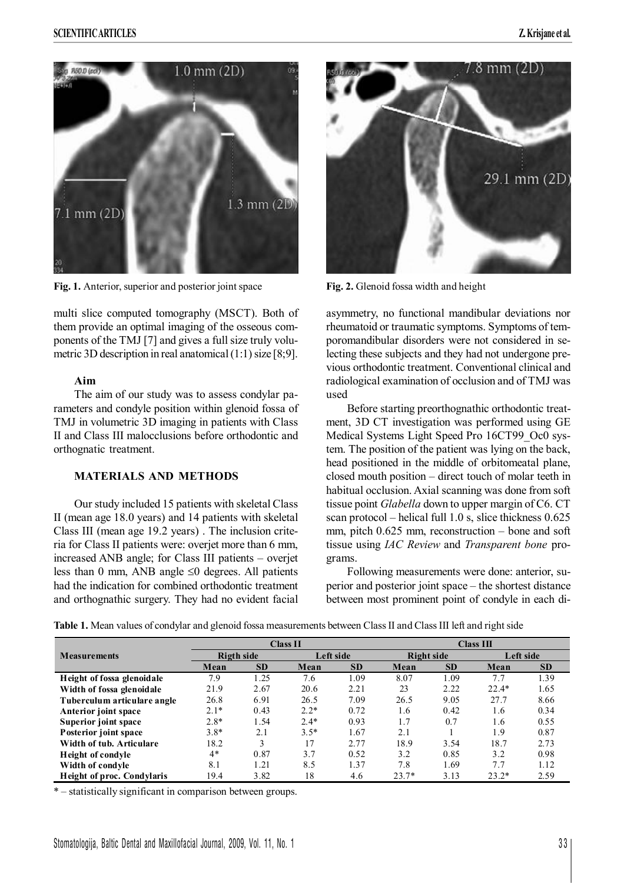

**Fig. 1.** Anterior, superior and posterior joint space **Fig. 2.** Glenoid fossa width and height

multi slice computed tomography (MSCT). Both of them provide an optimal imaging of the osseous components of the TMJ [7] and gives a full size truly volumetric 3D description in real anatomical  $(1:1)$  size [8:9].

## **Aim**

The aim of our study was to assess condylar parameters and condyle position within glenoid fossa of TMJ in volumetric 3D imaging in patients with Class II and Class III malocclusions before orthodontic and orthognatic treatment.

# **MATERIALS AND METHODS**

Our study included 15 patients with skeletal Class II (mean age 18.0 years) and 14 patients with skeletal Class III (mean age 19.2 years) . The inclusion criteria for Class II patients were: overjet more than 6 mm, increased ANB angle; for Class III patients – overjet less than 0 mm, ANB angle  $\leq 0$  degrees. All patients had the indication for combined orthodontic treatment and orthognathic surgery. They had no evident facial



asymmetry, no functional mandibular deviations nor rheumatoid or traumatic symptoms. Symptoms of temporomandibular disorders were not considered in selecting these subjects and they had not undergone previous orthodontic treatment. Conventional clinical and radiological examination of occlusion and of TMJ was used

Before starting preorthognathic orthodontic treatment, 3D CT investigation was performed using GE Medical Systems Light Speed Pro 16CT99\_Oc0 system. The position of the patient was lying on the back, head positioned in the middle of orbitomeatal plane, closed mouth position – direct touch of molar teeth in habitual occlusion. Axial scanning was done from soft tissue point *Glabella* down to upper margin of C6. CT scan protocol – helical full 1.0 s, slice thickness 0.625 mm, pitch 0.625 mm, reconstruction – bone and soft tissue using *IAC Review* and *Transparent bone* programs.

Following measurements were done: anterior, superior and posterior joint space – the shortest distance between most prominent point of condyle in each di-

| Table 1. Mean values of condylar and glenoid fossa measurements between Class II and Class III left and right side |  |  |  |  |  |
|--------------------------------------------------------------------------------------------------------------------|--|--|--|--|--|
|--------------------------------------------------------------------------------------------------------------------|--|--|--|--|--|

|                             | <b>Class II</b>   |           |           | Class III |            |           |           |           |
|-----------------------------|-------------------|-----------|-----------|-----------|------------|-----------|-----------|-----------|
| <b>Measurements</b>         | <b>Rigth side</b> |           | Left side |           | Right side |           | Left side |           |
|                             | Mean              | <b>SD</b> | Mean      | <b>SD</b> | Mean       | <b>SD</b> | Mean      | <b>SD</b> |
| Height of fossa glenoidale  | 7.9               | 1.25      | 7.6       | 1.09      | 8.07       | 1.09      | 7.7       | 1.39      |
| Width of fossa glenoidale   | 21.9              | 2.67      | 20.6      | 2.21      | 23         | 2.22      | $22.4*$   | 1.65      |
| Tuberculum articulare angle | 26.8              | 6.91      | 26.5      | 7.09      | 26.5       | 9.05      | 27.7      | 8.66      |
| Anterior joint space        | $2.1*$            | 0.43      | $2.2*$    | 0.72      | 1.6        | 0.42      | 1.6       | 0.34      |
| Superior joint space        | $2.8*$            | 1.54      | $2.4*$    | 0.93      | 1.7        | 0.7       | 1.6       | 0.55      |
| Posterior joint space       | $3.8*$            | 2.1       | $3.5*$    | 1.67      | 2.1        |           | 1.9       | 0.87      |
| Width of tub. Articulare    | 18.2              | 3         | 17        | 2.77      | 18.9       | 3.54      | 18.7      | 2.73      |
| Height of condyle           | $4*$              | 0.87      | 3.7       | 0.52      | 3.2        | 0.85      | 3.2       | 0.98      |
| Width of condyle            | 8.1               | 1.21      | 8.5       | 1.37      | 7.8        | 1.69      | 7.7       | 1.12      |
| Height of proc. Condylaris  | 19.4              | 3.82      | 18        | 4.6       | $23.7*$    | 3.13      | $23.2*$   | 2.59      |

\* – statistically significant in comparison between groups.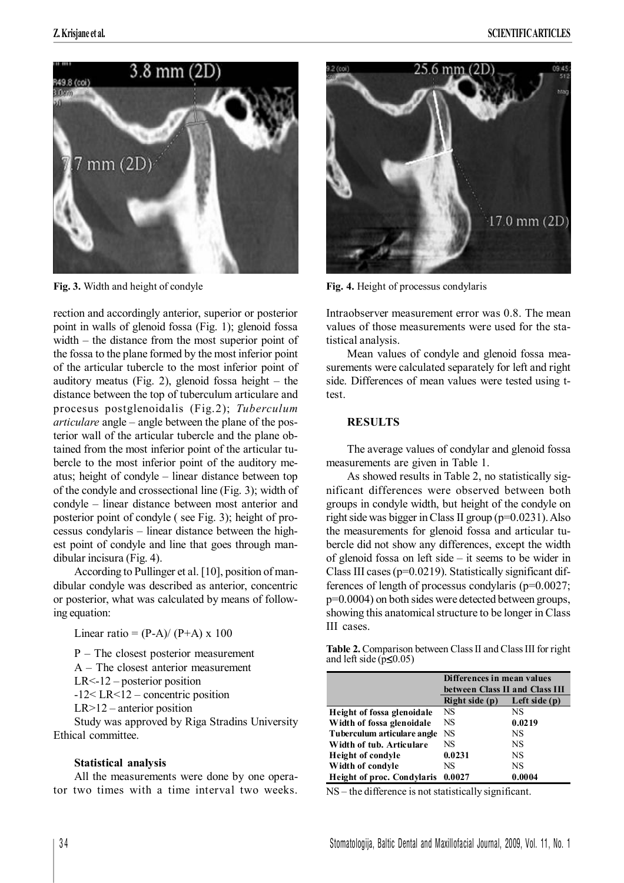

Fig. 3. Width and height of condyle **Fig. 4.** Height of processus condylaris

rection and accordingly anterior, superior or posterior point in walls of glenoid fossa (Fig. 1); glenoid fossa width – the distance from the most superior point of the fossa to the plane formed by the most inferior point of the articular tubercle to the most inferior point of auditory meatus (Fig. 2), glenoid fossa height  $-$  the distance between the top of tuberculum articulare and procesus postglenoidalis (Fig.2); *Tuberculum articulare* angle – angle between the plane of the posterior wall of the articular tubercle and the plane obtained from the most inferior point of the articular tubercle to the most inferior point of the auditory meatus; height of condyle – linear distance between top of the condyle and crossectional line (Fig. 3); width of condyle – linear distance between most anterior and posterior point of condyle ( see Fig. 3); height of processus condylaris – linear distance between the highest point of condyle and line that goes through mandibular incisura (Fig. 4).

According to Pullinger et al. [10], position of mandibular condyle was described as anterior, concentric or posterior, what was calculated by means of following equation:

Linear ratio =  $(P-A)/(P+A) \times 100$ 

P – The closest posterior measurement

A – The closest anterior measurement

LR<-12 – posterior position

-12< LR<12 – concentric position

LR>12 – anterior position

Study was approved by Riga Stradins University Ethical committee.

#### **Statistical analysis**

All the measurements were done by one operator two times with a time interval two weeks.



Intraobserver measurement error was 0.8. The mean values of those measurements were used for the statistical analysis.

Mean values of condyle and glenoid fossa measurements were calculated separately for left and right side. Differences of mean values were tested using ttest.

# **RESULTS**

The average values of condylar and glenoid fossa measurements are given in Table 1.

As showed results in Table 2, no statistically significant differences were observed between both groups in condyle width, but height of the condyle on right side was bigger in Class II group ( $p=0.0231$ ). Also the measurements for glenoid fossa and articular tubercle did not show any differences, except the width of glenoid fossa on left side – it seems to be wider in Class III cases(p=0.0219). Statistically significant differences of length of processus condylaris (p=0.0027; p=0.0004) on both sides were detected between groups, showing this anatomical structure to be longer in Class III cases.

**Table 2.** Comparison between Class II and Class III for right and left side  $(p \leq 0.05)$ 

|                                   | Differences in mean values     |                 |  |
|-----------------------------------|--------------------------------|-----------------|--|
|                                   | between Class II and Class III |                 |  |
|                                   | Right side (p)                 | Left side $(p)$ |  |
| Height of fossa glenoidale        | NS                             | NS              |  |
| Width of fossa glenoidale         | NS                             | 0.0219          |  |
| Tuberculum articulare angle       | NS                             | NS              |  |
| Width of tub. Articulare          | NS                             | NS              |  |
| <b>Height of condyle</b>          | 0.0231                         | NS              |  |
| Width of condyle                  | NS                             | NS              |  |
| <b>Height of proc. Condylaris</b> | 0.0027<br>0.0004               |                 |  |

NS – the difference is not statistically significant.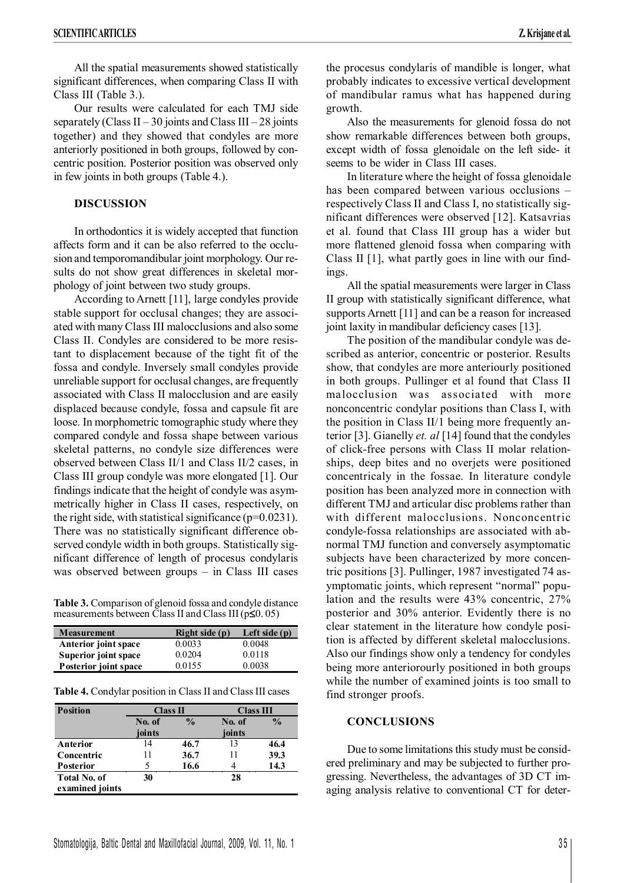All the spatial measurements showed statistically significant differences, when comparing Class II with Class III (Table 3.).

Our results were calculated for each TMJ side separately (Class  $II - 30$  joints and Class  $III - 28$  joints together) and they showed that condyles are more anteriorly positioned in both groups, followed by concentric position. Posterior position was observed only in few joints in both groups (Table 4.).

# **DISCUSSION**

In orthodontics it is widely accepted that function affects form and it can be also referred to the occlusion and temporomandibular joint morphology. Our results do not show great differences in skeletal morphology of joint between two study groups.

According to Arnett [11], large condyles provide stable support for occlusal changes; they are associated with many Class III malocclusions and also some Class II. Condyles are considered to be more resistant to displacement because of the tight fit of the fossa and condyle. Inversely small condyles provide unreliable support for occlusal changes, are frequently associated with Class II malocclusion and are easily displaced because condyle, fossa and capsule fit are loose. In morphometric tomographic study where they compared condyle and fossa shape between various skeletal patterns, no condyle size differences were observed between Class II/1 and Class II/2 cases, in Class III group condyle was more elongated [1]. Our findings indicate that the height of condyle was asymmetrically higher in Class II cases, respectively, on the right side, with statistical significance  $(p=0.0231)$ . There was no statistically significant difference observed condyle width in both groups. Statistically significant difference of length of procesus condylaris was observed between groups – in Class III cases

**Table 3.** Comparison of glenoid fossa and condyle distance measurements between Class II and Class III ( $p\leq 0.05$ )

| <b>Measurement</b>          | Right side (p) | Left side $(p)$ |
|-----------------------------|----------------|-----------------|
| Anterior joint space        | 0.0033         | 0.0048          |
| <b>Superior joint space</b> | 0.0204         | 0.0118          |
| Posterior joint space       | 0.0155         | 0.0038          |

**Table 4.** Condylar position in Class II and Class III cases

| <b>Position</b>     | Class II                |      | <b>Class III</b> |               |  |
|---------------------|-------------------------|------|------------------|---------------|--|
|                     | $\frac{0}{0}$<br>No. of |      | No. of           | $\frac{0}{0}$ |  |
|                     | joints                  |      | joints           |               |  |
| Anterior            | 14                      | 46.7 | 13               | 46.4          |  |
| Concentric          | 11                      | 36.7 | 11               | 39.3          |  |
| <b>Posterior</b>    |                         | 16.6 |                  | 14.3          |  |
| <b>Total No. of</b> | 30                      |      | 28               |               |  |
| examined joints     |                         |      |                  |               |  |

the procesus condylaris of mandible is longer, what probably indicates to excessive vertical development of mandibular ramus what has happened during growth.

Also the measurements for glenoid fossa do not show remarkable differences between both groups, except width of fossa glenoidale on the left side- it seems to be wider in Class III cases.

In literature where the height of fossa glenoidale has been compared between various occlusions – respectively Class II and Class I, no statistically significant differences were observed [12]. Katsavrias et al. found that Class III group has a wider but more flattened glenoid fossa when comparing with Class II [1], what partly goes in line with our findings.

All the spatial measurements were larger in Class II group with statistically significant difference, what supports Arnett [11] and can be a reason for increased joint laxity in mandibular deficiency cases [13].

The position of the mandibular condyle was described as anterior, concentric or posterior. Results show, that condyles are more anteriourly positioned in both groups. Pullinger et al found that Class II malocclusion was associated with more nonconcentric condylar positions than Class I, with the position in Class II/1 being more frequently anterior [3]. Gianelly *et. al* [14] found that the condyles of click-free persons with Class II molar relationships, deep bites and no overjets were positioned concentricaly in the fossae. In literature condyle position has been analyzed more in connection with different TMJ and articular disc problems rather than with different malocclusions. Nonconcentric condyle-fossa relationships are associated with abnormal TMJ function and conversely asymptomatic subjects have been characterized by more concentric positions [3]. Pullinger, 1987 investigated 74 asymptomatic joints, which represent "normal" population and the results were 43% concentric, 27% posterior and 30% anterior. Evidently there is no clear statement in the literature how condyle position is affected by different skeletal malocclusions. Also our findings show only a tendency for condyles being more anteriorourly positioned in both groups while the number of examined joints is too small to find stronger proofs.

## **CONCLUSIONS**

Due to some limitations this study must be considered preliminary and may be subjected to further progressing. Nevertheless, the advantages of 3D CT imaging analysis relative to conventional CT for deter